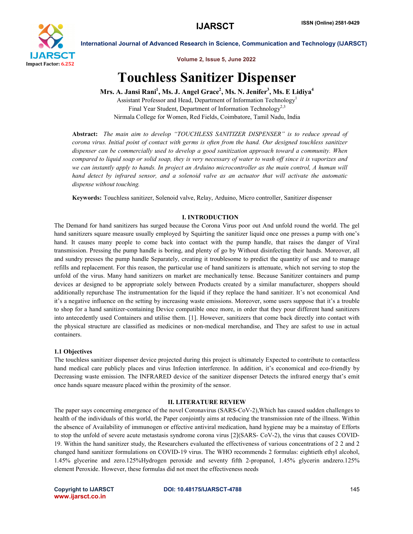

Volume 2, Issue 5, June 2022

International Journal of Advanced Research in Science, Communication and Technology (IJARSCT)

# Touchless Sanitizer Dispenser

Mrs. A. Jansi Rani<sup>1</sup>, Ms. J. Angel Grace<sup>2</sup>, Ms. N. Jenifer<sup>3</sup>, Ms. E Lidiya<sup>4</sup>

Assistant Professor and Head, Department of Information Technology<sup>1</sup> Final Year Student, Department of Information Technology<sup>2,3</sup> Nirmala College for Women, Red Fields, Coimbatore, Tamil Nadu, India

Abstract: *The main aim to develop "TOUCHLESS SANITIZER DISPENSER" is to reduce spread of corona virus. Initial point of contact with germs is often from the hand. Our designed touchless sanitizer dispenser can be commercially used to develop a good sanitization approach toward a community. When compared to liquid soap or solid soap, they is very necessary of water to wash off since it is vaporizes and we can instantly apply to hands. In project an Arduino microcontroller as the main control, A human will hand detect by infrared sensor, and a solenoid valve as an actuator that will activate the automatic dispense without touching.*

Keywords: Touchless sanitizer, Solenoid valve, Relay, Arduino, Micro controller, Sanitizer dispenser

# I. INTRODUCTION

The Demand for hand sanitizers has surged because the Corona Virus poor out And unfold round the world. The gel hand sanitizers square measure usually employed by Squirting the sanitizer liquid once one presses a pump with one's hand. It causes many people to come back into contact with the pump handle, that raises the danger of Viral transmission. Pressing the pump handle is boring, and plenty of go by Without disinfecting their hands. Moreover, all and sundry presses the pump handle Separately, creating it troublesome to predict the quantity of use and to manage refills and replacement. For this reason, the particular use of hand sanitizers is attenuate, which not serving to stop the unfold of the virus. Many hand sanitizers on market are mechanically tense. Because Sanitizer containers and pump devices ar designed to be appropriate solely between Products created by a similar manufacturer, shoppers should additionally repurchase The instrumentation for the liquid if they replace the hand sanitizer. It's not economical And it's a negative influence on the setting by increasing waste emissions. Moreover, some users suppose that it's a trouble to shop for a hand sanitizer-containing Device compatible once more, in order that they pour different hand sanitizers into antecedently used Containers and utilise them. [1]. However, sanitizers that come back directly into contact with the physical structure are classified as medicines or non-medical merchandise, and They are safest to use in actual containers.

# 1.1 Objectives

The touchless sanitizer dispenser device projected during this project is ultimately Expected to contribute to contactless hand medical care publicly places and virus Infection interference. In addition, it's economical and eco-friendly by Decreasing waste emission. The INFRARED device of the sanitizer dispenser Detects the infrared energy that's emit once hands square measure placed within the proximity of the sensor.

# II. LITERATURE REVIEW

The paper says concerning emergence of the novel Coronavirus (SARS-CoV-2),Which has caused sudden challenges to health of the individuals of this world, the Paper conjointly aims at reducing the transmission rate of the illness. Within the absence of Availability of immunogen or effective antiviral medication, hand hygiene may be a mainstay of Efforts to stop the unfold of severe acute metastasis syndrome corona virus [2](SARS- CoV-2), the virus that causes COVID-19. Within the hand sanitizer study, the Researchers evaluated the effectiveness of various concentrations of 2 2 and 2 changed hand sanitizer formulations on COVID-19 virus. The WHO recommends 2 formulas: eightieth ethyl alcohol, 1.45% glycerine and zero.125%Hydrogen peroxide and seventy fifth 2-propanol, 1.45% glycerin andzero.125% element Peroxide. However, these formulas did not meet the effectiveness needs

www.ijarsct.co.in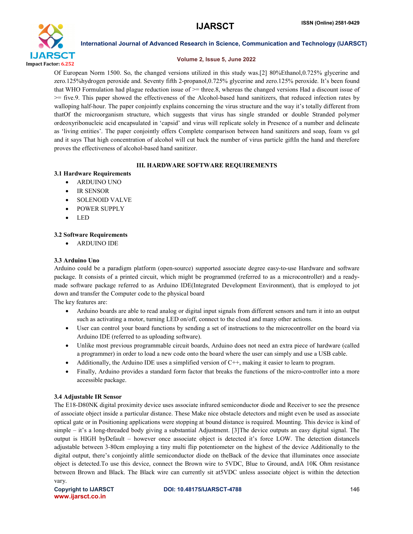

### Volume 2, Issue 5, June 2022

Of European Norm 1500. So, the changed versions utilized in this study was.[2] 80%Ethanol,0.725% glycerine and zero.125%hydrogen peroxide and. Seventy fifth 2-propanol,0.725% glycerine and zero.125% peroxide. It's been found that WHO Formulation had plague reduction issue of >= three.8, whereas the changed versions Had a discount issue of >= five.9. This paper showed the effectiveness of the Alcohol-based hand sanitizers, that reduced infection rates by walloping half-hour. The paper conjointly explains concerning the virus structure and the way it's totally different from thatOf the microorganism structure, which suggests that virus has single stranded or double Stranded polymer ordeoxyribonucleic acid encapsulated in 'capsid' and virus will replicate solely in Presence of a number and delineate as 'living entities'. The paper conjointly offers Complete comparison between hand sanitizers and soap, foam vs gel and it says That high concentration of alcohol will cut back the number of virus particle giftIn the hand and therefore proves the effectiveness of alcohol-based hand sanitizer.

# III. HARDWARE SOFTWARE REQUIREMENTS

# 3.1 Hardware Requirements

- ARDUINO UNO
- IR SENSOR
- SOLENOID VALVE
- POWER SUPPLY
- LED

# 3.2 Software Requirements

ARDUINO IDE

# 3.3 Arduino Uno

Arduino could be a paradigm platform (open-source) supported associate degree easy-to-use Hardware and software package. It consists of a printed circuit, which might be programmed (referred to as a microcontroller) and a readymade software package referred to as Arduino IDE(Integrated Development Environment), that is employed to jot down and transfer the Computer code to the physical board

The key features are:

- Arduino boards are able to read analog or digital input signals from different sensors and turn it into an output such as activating a motor, turning LED on/off, connect to the cloud and many other actions.
- User can control your board functions by sending a set of instructions to the microcontroller on the board via Arduino IDE (referred to as uploading software).
- Unlike most previous programmable circuit boards, Arduino does not need an extra piece of hardware (called a programmer) in order to load a new code onto the board where the user can simply and use a USB cable.
- Additionally, the Arduino IDE uses a simplified version of C++, making it easier to learn to program.
- Finally, Arduino provides a standard form factor that breaks the functions of the micro-controller into a more accessible package.

# 3.4 Adjustable IR Sensor

The E18-D80NK digital proximity device uses associate infrared semiconductor diode and Receiver to see the presence of associate object inside a particular distance. These Make nice obstacle detectors and might even be used as associate optical gate or in Positioning applications were stopping at bound distance is required. Mounting. This device is kind of simple – it's a long-threaded body giving a substantial Adjustment. [3]The device outputs an easy digital signal. The output is HIGH byDefault – however once associate object is detected it's force LOW. The detection distanceIs adjustable between 3-80cm employing a tiny multi flip potentiometer on the highest of the device Additionally to the digital output, there's conjointly alittle semiconductor diode on theBack of the device that illuminates once associate object is detected.To use this device, connect the Brown wire to 5VDC, Blue to Ground, andA 10K Ohm resistance between Brown and Black. The Black wire can currently sit at5VDC unless associate object is within the detection vary.

www.ijarsct.co.in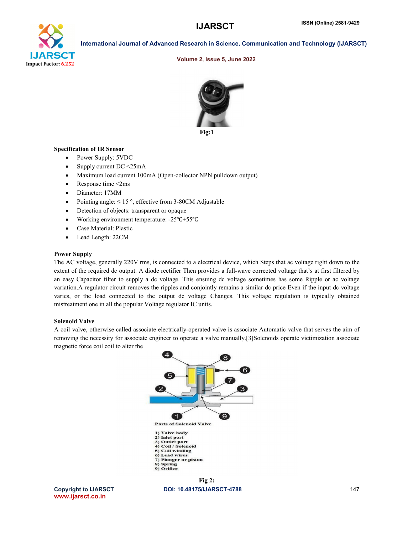# **IJARSCT**



International Journal of Advanced Research in Science, Communication and Technology (IJARSCT)

#### Volume 2, Issue 5, June 2022



Fig:1

#### Specification of IR Sensor

- Power Supply: 5VDC
- Supply current  $DC < 25mA$
- Maximum load current 100mA (Open-collector NPN pulldown output)
- Response time <2ms
- Diameter: 17MM
- Pointing angle:  $\leq 15^\circ$ , effective from 3-80CM Adjustable
- Detection of objects: transparent or opaque
- Detection of objects: transparent or opaque<br>• Working environment temperature: -25°C+55°C
- Case Material: Plastic
- Lead Length: 22CM

#### Power Supply

The AC voltage, generally 220V rms, is connected to a electrical device, which Steps that ac voltage right down to the extent of the required dc output. A diode rectifier Then provides a full-wave corrected voltage that's at first filtered by an easy Capacitor filter to supply a dc voltage. This ensuing dc voltage sometimes has some Ripple or ac voltage variation. A regulator circuit removes the ripples and conjointly remains a similar dc price Even if the input dc voltage extent of the required dc output. A diode rectifier Then provides a full-wave corrected voltage that's at first filtered by<br>an easy Capacitor filter to supply a dc voltage. This ensuing dc voltage sometimes has some Ripple mistreatment one in all the popular Voltage regulator IC units.

#### Solenoid Valve

A coil valve, otherwise called associate electrically-operated valve is associate Automatic valve that serves the aim of removing the necessity for associate engineer to operate a valve manually.[3]Solenoids operate victimization associate magnetic force coil coil to alter the



DOI: 10.48175/IJARSCT-4788

Copyright to IJARSCT www.ijarsct.co.in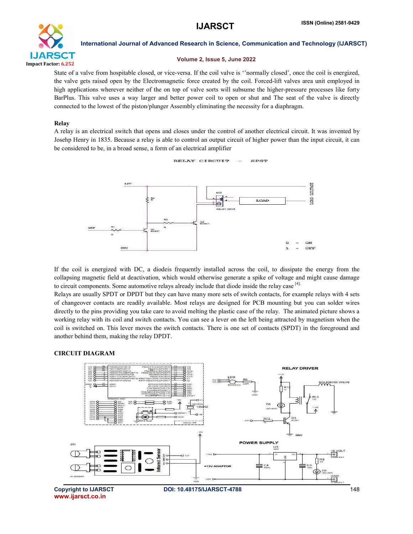

# Volume 2, Issue 5, June 2022

State of a valve from hospitable closed, or vice-versa. If the coil valve is ''normally closed', once the coil is energized, the valve gets raised open by the Electromagnetic force created by the coil. Forced-lift valves area unit employed in high applications wherever neither of the on top of valve sorts will subsume the higher-pressure processes like forty BarPlus. This valve uses a way larger and better power coil to open or shut and The seat of the valve is directly connected to the lowest of the piston/plunger Assembly eliminating the necessity for a diaphragm.

# Relay

A relay is an electrical switch that opens and closes under the control of another electrical circuit. It was invented by Josehp Henry in 1835. Because a relay is able to control an output circuit of higher power than the input circuit, it can be considered to be, in a broad sense, a form of an electrical amplifier



If the coil is energized with DC, a diodeis frequently installed across the coil, to dissipate the energy from the collapsing magnetic field at deactivation, which would otherwise generate a spike of voltage and might cause damage to circuit components. Some automotive relays already include that diode inside the relay case [4].

Relays are usually SPDT or DPDT but they can have many more sets of switch contacts, for example relays with 4 sets of changeover contacts are readily available. Most relays are designed for PCB mounting but you can solder wires directly to the pins providing you take care to avoid melting the plastic case of the relay. The animated picture shows a working relay with its coil and switch contacts. You can see a lever on the left being attracted by magnetism when the coil is switched on. This lever moves the switch contacts. There is one set of contacts (SPDT) in the foreground and another behind them, making the relay DPDT.

# CIRCUIT DIAGRAM

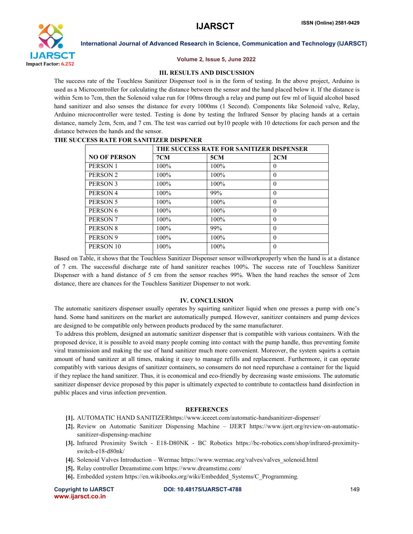

#### Volume 2, Issue 5, June 2022

#### III. RESULTS AND DISCUSSION

The success rate of the Touchless Sanitizer Dispenser tool is in the form of testing. In the above project, Arduino is used as a Microcontroller for calculating the distance between the sensor and the hand placed below it. If the distance is within 5cm to 7cm, then the Solenoid value run for 100ms through a relay and pump out few ml of liquid alcohol based hand sanitizer and also senses the distance for every 1000ms (1 Second). Components like Solenoid valve, Relay, Arduino microcontroller were tested. Testing is done by testing the Infrared Sensor by placing hands at a certain distance, namely 2cm, 5cm, and 7 cm. The test was carried out by10 people with 10 detections for each person and the distance between the hands and the sensor.

| <b>NO OF PERSON</b> | THE SUCCESS RATE FOR SANITIZER DISPENSER |         |          |
|---------------------|------------------------------------------|---------|----------|
|                     | 7CM                                      | 5CM     | 2CM      |
| PERSON 1            | $100\%$                                  | $100\%$ | $\theta$ |
| PERSON <sub>2</sub> | 100%                                     | $100\%$ | $\theta$ |
| PERSON 3            | $100\%$                                  | $100\%$ | $\theta$ |
| PERSON 4            | $100\%$                                  | 99%     | $\theta$ |
| PERSON 5            | $100\%$                                  | 100%    | $\theta$ |
| PERSON <sub>6</sub> | $100\%$                                  | 100%    | $\theta$ |
| PERSON <sub>7</sub> | $100\%$                                  | 100%    | $\theta$ |
| PERSON 8            | $100\%$                                  | 99%     | $\theta$ |
| PERSON 9            | 100%                                     | 100%    | $\theta$ |
| PERSON 10           | $100\%$                                  | 100%    | $\theta$ |
|                     |                                          |         |          |

#### THE SUCCESS RATE FOR SANITIZER DISPENER

Based on Table, it shows that the Touchless Sanitizer Dispenser sensor willworkproperly when the hand is at a distance of 7 cm. The successful discharge rate of hand sanitizer reaches 100%. The success rate of Touchless Sanitizer Dispenser with a hand distance of 5 cm from the sensor reaches 99%. When the hand reaches the sensor of 2cm distance, there are chances for the Touchless Sanitizer Dispenser to not work.

### IV. CONCLUSION

The automatic sanitizers dispenser usually operates by squirting sanitizer liquid when one presses a pump with one's hand. Some hand sanitizers on the market are automatically pumped. However, sanitizer containers and pump devices are designed to be compatible only between products produced by the same manufacturer.

To address this problem, designed an automatic sanitizer dispenser that is compatible with various containers. With the proposed device, it is possible to avoid many people coming into contact with the pump handle, thus preventing fomite viral transmission and making the use of hand sanitizer much more convenient. Moreover, the system squirts a certain amount of hand sanitizer at all times, making it easy to manage refills and replacement. Furthermore, it can operate compatibly with various designs of sanitizer containers, so consumers do not need repurchase a container for the liquid if they replace the hand sanitizer. Thus, it is economical and eco-friendly by decreasing waste emissions. The automatic sanitizer dispenser device proposed by this paper is ultimately expected to contribute to contactless hand disinfection in public places and virus infection prevention.

### **REFERENCES**

- [1]. AUTOMATIC HAND SANITIZERhttps://www.iceeet.com/automatic-handsanitizer-dispenser/
- [2]. Review on Automatic Sanitizer Dispensing Machine IJERT https://www.ijert.org/review-on-automaticsanitizer-dispensing-machine
- [3]. Infrared Proximity Switch E18-D80NK BC Robotics https://bc-robotics.com/shop/infrared-proximityswitch-e18-d80nk/
- [4]. Solenoid Valves Introduction Wermac https://www.wermac.org/valves/valves\_solenoid.html
- [5]. Relay controller Dreamstime.com https://www.dreamstime.com/
- [6]. Embedded system https://en.wikibooks.org/wiki/Embedded\_Systems/C\_Programming.

```
www.ijarsct.co.in
```